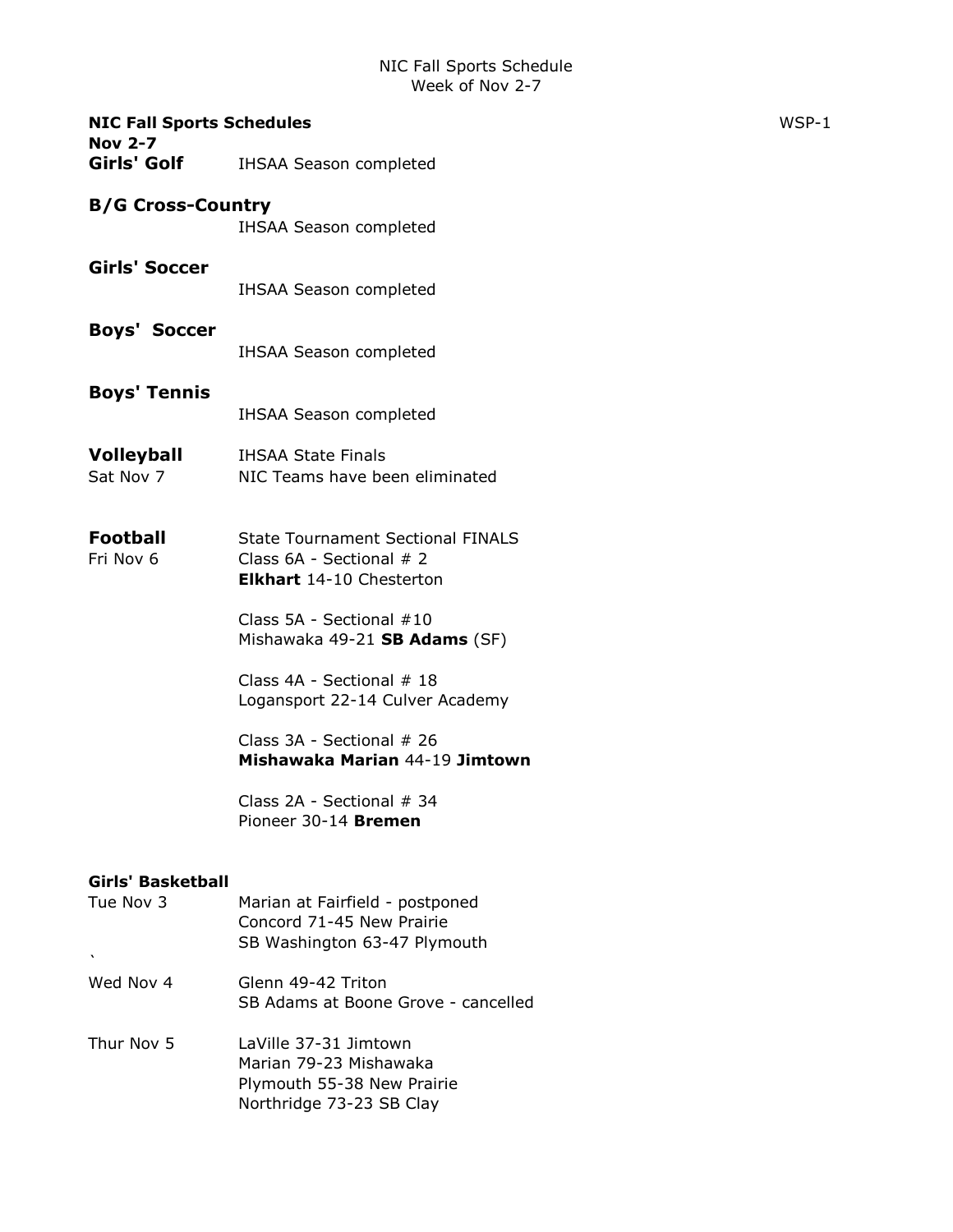| <b>NIC Fall Sports Schedules</b><br><b>Nov 2-7</b> |                                                                                                           | WSP-1 |
|----------------------------------------------------|-----------------------------------------------------------------------------------------------------------|-------|
| Girls' Golf                                        | <b>IHSAA Season completed</b>                                                                             |       |
| <b>B/G Cross-Country</b>                           |                                                                                                           |       |
|                                                    | <b>IHSAA Season completed</b>                                                                             |       |
| <b>Girls' Soccer</b>                               | <b>IHSAA Season completed</b>                                                                             |       |
| <b>Boys' Soccer</b>                                | <b>IHSAA Season completed</b>                                                                             |       |
| <b>Boys' Tennis</b>                                | <b>IHSAA Season completed</b>                                                                             |       |
| <b>Volleyball</b><br>Sat Nov 7                     | <b>IHSAA State Finals</b><br>NIC Teams have been eliminated                                               |       |
| <b>Football</b><br>Fri Nov 6                       | <b>State Tournament Sectional FINALS</b><br>Class 6A - Sectional # 2<br><b>Elkhart</b> 14-10 Chesterton   |       |
|                                                    | Class 5A - Sectional #10<br>Mishawaka 49-21 SB Adams (SF)                                                 |       |
|                                                    | Class 4A - Sectional # 18<br>Logansport 22-14 Culver Academy                                              |       |
|                                                    | Class 3A - Sectional # 26<br>Mishawaka Marian 44-19 Jimtown                                               |       |
|                                                    | Class 2A - Sectional # 34<br>Pioneer 30-14 Bremen                                                         |       |
| <b>Girls' Basketball</b>                           |                                                                                                           |       |
| Tue Nov 3<br>$\mathbf{v}$                          | Marian at Fairfield - postponed<br>Concord 71-45 New Prairie<br>SB Washington 63-47 Plymouth              |       |
| Wed Nov 4                                          | Glenn 49-42 Triton<br>SB Adams at Boone Grove - cancelled                                                 |       |
| Thur Nov 5                                         | LaVille 37-31 Jimtown<br>Marian 79-23 Mishawaka<br>Plymouth 55-38 New Prairie<br>Northridge 73-23 SB Clay |       |